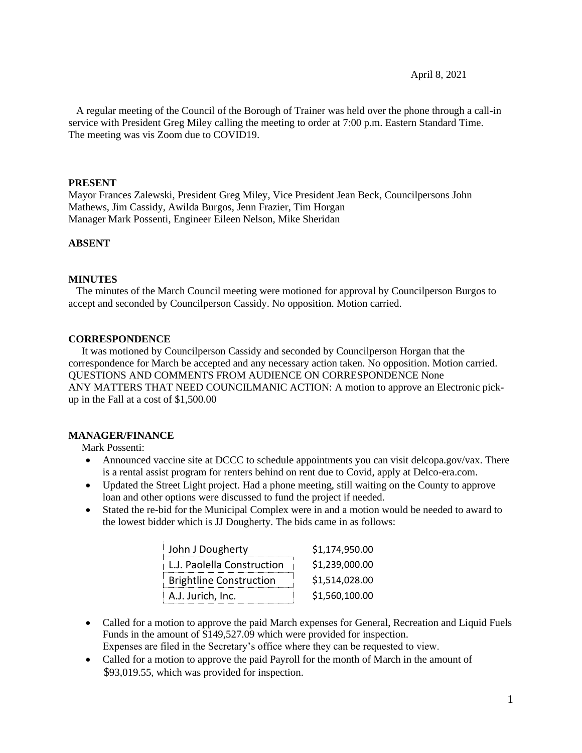A regular meeting of the Council of the Borough of Trainer was held over the phone through a call-in service with President Greg Miley calling the meeting to order at 7:00 p.m. Eastern Standard Time. The meeting was vis Zoom due to COVID19.

#### **PRESENT**

Mayor Frances Zalewski, President Greg Miley, Vice President Jean Beck, Councilpersons John Mathews, Jim Cassidy, Awilda Burgos, Jenn Frazier, Tim Horgan Manager Mark Possenti, Engineer Eileen Nelson, Mike Sheridan

## **ABSENT**

## **MINUTES**

 The minutes of the March Council meeting were motioned for approval by Councilperson Burgos to accept and seconded by Councilperson Cassidy. No opposition. Motion carried.

## **CORRESPONDENCE**

 It was motioned by Councilperson Cassidy and seconded by Councilperson Horgan that the correspondence for March be accepted and any necessary action taken. No opposition. Motion carried. QUESTIONS AND COMMENTS FROM AUDIENCE ON CORRESPONDENCE None ANY MATTERS THAT NEED COUNCILMANIC ACTION: A motion to approve an Electronic pickup in the Fall at a cost of \$1,500.00

## **MANAGER/FINANCE**

Mark Possenti:

- Announced vaccine site at DCCC to schedule appointments you can visit delcopa.gov/vax. There is a rental assist program for renters behind on rent due to Covid, apply at Delco-era.com.
- Updated the Street Light project. Had a phone meeting, still waiting on the County to approve loan and other options were discussed to fund the project if needed.
- Stated the re-bid for the Municipal Complex were in and a motion would be needed to award to the lowest bidder which is JJ Dougherty. The bids came in as follows:

| John J Dougherty               | \$1,174,950.00 |
|--------------------------------|----------------|
| L.J. Paolella Construction     | \$1,239,000.00 |
| <b>Brightline Construction</b> | \$1,514,028.00 |
| A.J. Jurich, Inc.              | \$1,560,100.00 |

- Called for a motion to approve the paid March expenses for General, Recreation and Liquid Fuels Funds in the amount of \$149,527.09 which were provided for inspection. Expenses are filed in the Secretary's office where they can be requested to view.
- Called for a motion to approve the paid Payroll for the month of March in the amount of \$93,019.55, which was provided for inspection.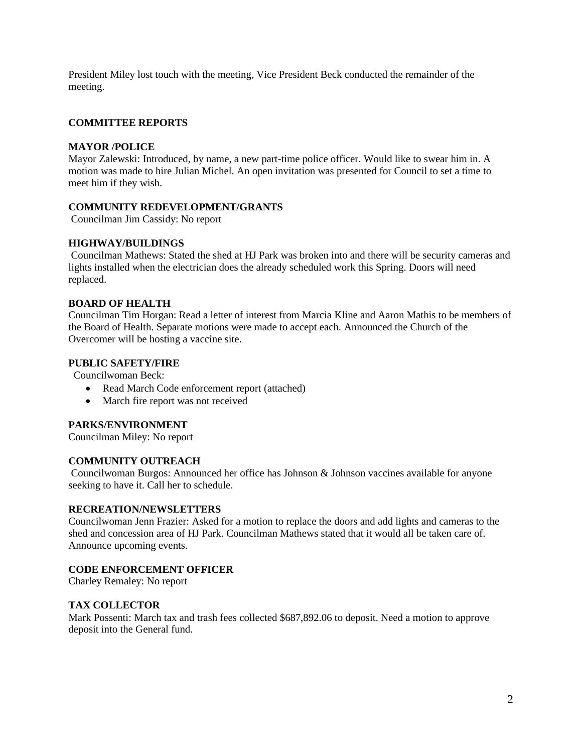President Miley lost touch with the meeting, Vice President Beck conducted the remainder of the meeting.

## **COMMITTEE REPORTS**

#### **MAYOR /POLICE**

Mayor Zalewski: Introduced, by name, a new part-time police officer. Would like to swear him in. A motion was made to hire Julian Michel. An open invitation was presented for Council to set a time to meet him if they wish.

## **COMMUNITY REDEVELOPMENT/GRANTS**

Councilman Jim Cassidy: No report

## **HIGHWAY/BUILDINGS**

Councilman Mathews: Stated the shed at HJ Park was broken into and there will be security cameras and lights installed when the electrician does the already scheduled work this Spring. Doors will need replaced.

#### **BOARD OF HEALTH**

Councilman Tim Horgan: Read a letter of interest from Marcia Kline and Aaron Mathis to be members of the Board of Health. Separate motions were made to accept each. Announced the Church of the Overcomer will be hosting a vaccine site.

## **PUBLIC SAFETY/FIRE**

Councilwoman Beck:

- Read March Code enforcement report (attached)
- March fire report was not received

#### **PARKS/ENVIRONMENT**

Councilman Miley: No report

### **COMMUNITY OUTREACH**

Councilwoman Burgos: Announced her office has Johnson & Johnson vaccines available for anyone seeking to have it. Call her to schedule.

## **RECREATION/NEWSLETTERS**

Councilwoman Jenn Frazier: Asked for a motion to replace the doors and add lights and cameras to the shed and concession area of HJ Park. Councilman Mathews stated that it would all be taken care of. Announce upcoming events.

## **CODE ENFORCEMENT OFFICER**

Charley Remaley: No report

#### **TAX COLLECTOR**

Mark Possenti: March tax and trash fees collected \$687,892.06 to deposit. Need a motion to approve deposit into the General fund.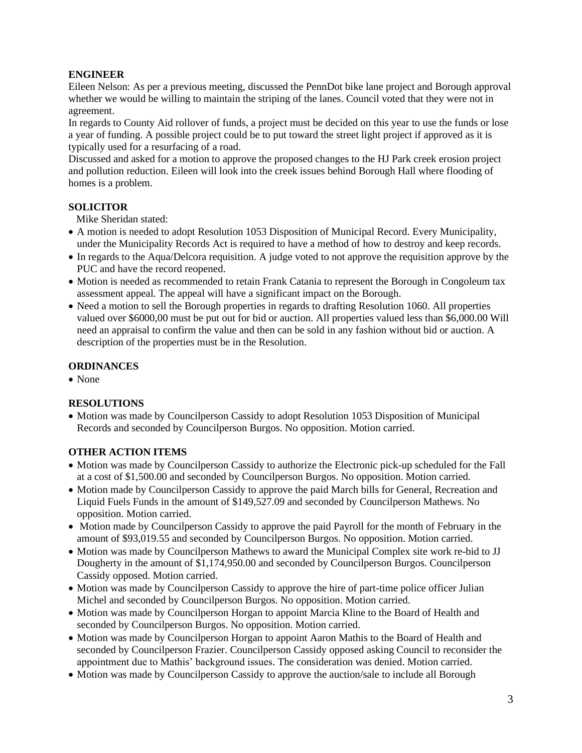# **ENGINEER**

Eileen Nelson: As per a previous meeting, discussed the PennDot bike lane project and Borough approval whether we would be willing to maintain the striping of the lanes. Council voted that they were not in agreement.

In regards to County Aid rollover of funds, a project must be decided on this year to use the funds or lose a year of funding. A possible project could be to put toward the street light project if approved as it is typically used for a resurfacing of a road.

Discussed and asked for a motion to approve the proposed changes to the HJ Park creek erosion project and pollution reduction. Eileen will look into the creek issues behind Borough Hall where flooding of homes is a problem.

# **SOLICITOR**

Mike Sheridan stated:

- A motion is needed to adopt Resolution 1053 Disposition of Municipal Record. Every Municipality, under the Municipality Records Act is required to have a method of how to destroy and keep records.
- In regards to the Aqua/Delcora requisition. A judge voted to not approve the requisition approve by the PUC and have the record reopened.
- Motion is needed as recommended to retain Frank Catania to represent the Borough in Congoleum tax assessment appeal. The appeal will have a significant impact on the Borough.
- Need a motion to sell the Borough properties in regards to drafting Resolution 1060. All properties valued over \$6000,00 must be put out for bid or auction. All properties valued less than \$6,000.00 Will need an appraisal to confirm the value and then can be sold in any fashion without bid or auction. A description of the properties must be in the Resolution.

# **ORDINANCES**

• None

# **RESOLUTIONS**

• Motion was made by Councilperson Cassidy to adopt Resolution 1053 Disposition of Municipal Records and seconded by Councilperson Burgos. No opposition. Motion carried.

# **OTHER ACTION ITEMS**

- Motion was made by Councilperson Cassidy to authorize the Electronic pick-up scheduled for the Fall at a cost of \$1,500.00 and seconded by Councilperson Burgos. No opposition. Motion carried.
- Motion made by Councilperson Cassidy to approve the paid March bills for General, Recreation and Liquid Fuels Funds in the amount of \$149,527.09 and seconded by Councilperson Mathews. No opposition. Motion carried.
- Motion made by Councilperson Cassidy to approve the paid Payroll for the month of February in the amount of \$93,019.55 and seconded by Councilperson Burgos. No opposition. Motion carried.
- Motion was made by Councilperson Mathews to award the Municipal Complex site work re-bid to JJ Dougherty in the amount of \$1,174,950.00 and seconded by Councilperson Burgos. Councilperson Cassidy opposed. Motion carried.
- Motion was made by Councilperson Cassidy to approve the hire of part-time police officer Julian Michel and seconded by Councilperson Burgos. No opposition. Motion carried.
- Motion was made by Councilperson Horgan to appoint Marcia Kline to the Board of Health and seconded by Councilperson Burgos. No opposition. Motion carried.
- Motion was made by Councilperson Horgan to appoint Aaron Mathis to the Board of Health and seconded by Councilperson Frazier. Councilperson Cassidy opposed asking Council to reconsider the appointment due to Mathis' background issues. The consideration was denied. Motion carried.
- Motion was made by Councilperson Cassidy to approve the auction/sale to include all Borough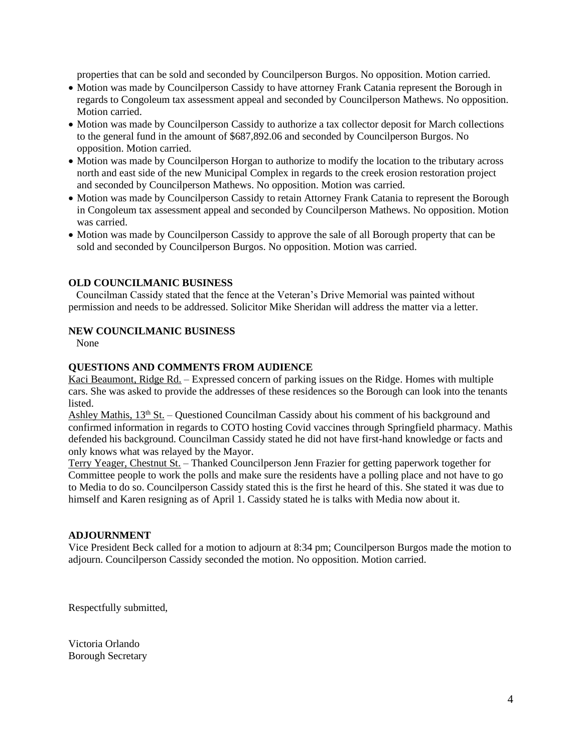properties that can be sold and seconded by Councilperson Burgos. No opposition. Motion carried.

- Motion was made by Councilperson Cassidy to have attorney Frank Catania represent the Borough in regards to Congoleum tax assessment appeal and seconded by Councilperson Mathews. No opposition. Motion carried.
- Motion was made by Councilperson Cassidy to authorize a tax collector deposit for March collections to the general fund in the amount of \$687,892.06 and seconded by Councilperson Burgos. No opposition. Motion carried.
- Motion was made by Councilperson Horgan to authorize to modify the location to the tributary across north and east side of the new Municipal Complex in regards to the creek erosion restoration project and seconded by Councilperson Mathews. No opposition. Motion was carried.
- Motion was made by Councilperson Cassidy to retain Attorney Frank Catania to represent the Borough in Congoleum tax assessment appeal and seconded by Councilperson Mathews. No opposition. Motion was carried.
- Motion was made by Councilperson Cassidy to approve the sale of all Borough property that can be sold and seconded by Councilperson Burgos. No opposition. Motion was carried.

## **OLD COUNCILMANIC BUSINESS**

 Councilman Cassidy stated that the fence at the Veteran's Drive Memorial was painted without permission and needs to be addressed. Solicitor Mike Sheridan will address the matter via a letter.

### **NEW COUNCILMANIC BUSINESS**

None

## **QUESTIONS AND COMMENTS FROM AUDIENCE**

Kaci Beaumont, Ridge Rd. – Expressed concern of parking issues on the Ridge. Homes with multiple cars. She was asked to provide the addresses of these residences so the Borough can look into the tenants listed.

Ashley Mathis,  $13<sup>th</sup>$  St. – Questioned Councilman Cassidy about his comment of his background and confirmed information in regards to COTO hosting Covid vaccines through Springfield pharmacy. Mathis defended his background. Councilman Cassidy stated he did not have first-hand knowledge or facts and only knows what was relayed by the Mayor.

Terry Yeager, Chestnut St. – Thanked Councilperson Jenn Frazier for getting paperwork together for Committee people to work the polls and make sure the residents have a polling place and not have to go to Media to do so. Councilperson Cassidy stated this is the first he heard of this. She stated it was due to himself and Karen resigning as of April 1. Cassidy stated he is talks with Media now about it.

#### **ADJOURNMENT**

Vice President Beck called for a motion to adjourn at 8:34 pm; Councilperson Burgos made the motion to adjourn. Councilperson Cassidy seconded the motion. No opposition. Motion carried.

Respectfully submitted,

Victoria Orlando Borough Secretary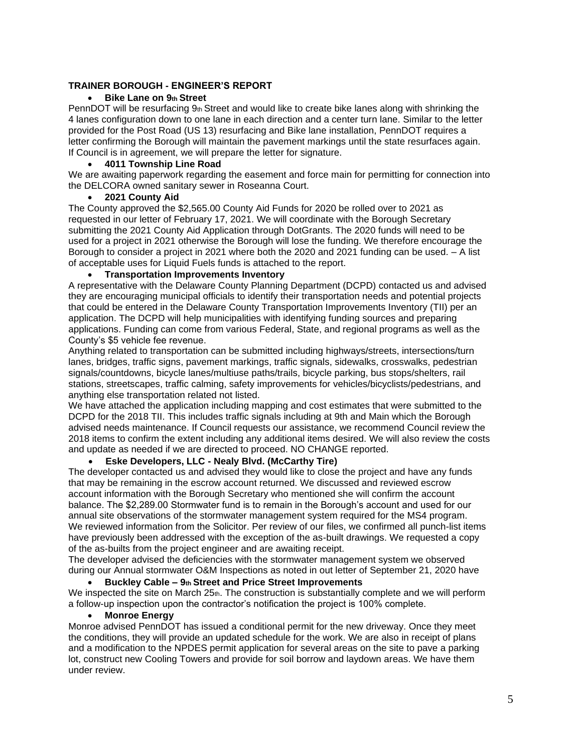## **TRAINER BOROUGH - ENGINEER'S REPORT**

## • **Bike Lane on 9th Street**

PennDOT will be resurfacing 9th Street and would like to create bike lanes along with shrinking the 4 lanes configuration down to one lane in each direction and a center turn lane. Similar to the letter provided for the Post Road (US 13) resurfacing and Bike lane installation, PennDOT requires a letter confirming the Borough will maintain the pavement markings until the state resurfaces again. If Council is in agreement, we will prepare the letter for signature.

#### • **4011 Township Line Road**

We are awaiting paperwork regarding the easement and force main for permitting for connection into the DELCORA owned sanitary sewer in Roseanna Court.

## • **2021 County Aid**

The County approved the \$2,565.00 County Aid Funds for 2020 be rolled over to 2021 as requested in our letter of February 17, 2021. We will coordinate with the Borough Secretary submitting the 2021 County Aid Application through DotGrants. The 2020 funds will need to be used for a project in 2021 otherwise the Borough will lose the funding. We therefore encourage the Borough to consider a project in 2021 where both the 2020 and 2021 funding can be used. – A list of acceptable uses for Liquid Fuels funds is attached to the report.

## • **Transportation Improvements Inventory**

A representative with the Delaware County Planning Department (DCPD) contacted us and advised they are encouraging municipal officials to identify their transportation needs and potential projects that could be entered in the Delaware County Transportation Improvements Inventory (TII) per an application. The DCPD will help municipalities with identifying funding sources and preparing applications. Funding can come from various Federal, State, and regional programs as well as the County's \$5 vehicle fee revenue.

Anything related to transportation can be submitted including highways/streets, intersections/turn lanes, bridges, traffic signs, pavement markings, traffic signals, sidewalks, crosswalks, pedestrian signals/countdowns, bicycle lanes/multiuse paths/trails, bicycle parking, bus stops/shelters, rail stations, streetscapes, traffic calming, safety improvements for vehicles/bicyclists/pedestrians, and anything else transportation related not listed.

We have attached the application including mapping and cost estimates that were submitted to the DCPD for the 2018 TII. This includes traffic signals including at 9th and Main which the Borough advised needs maintenance. If Council requests our assistance, we recommend Council review the 2018 items to confirm the extent including any additional items desired. We will also review the costs and update as needed if we are directed to proceed. NO CHANGE reported.

## • **Eske Developers, LLC - Nealy Blvd. (McCarthy Tire)**

The developer contacted us and advised they would like to close the project and have any funds that may be remaining in the escrow account returned. We discussed and reviewed escrow account information with the Borough Secretary who mentioned she will confirm the account balance. The \$2,289.00 Stormwater fund is to remain in the Borough's account and used for our annual site observations of the stormwater management system required for the MS4 program. We reviewed information from the Solicitor. Per review of our files, we confirmed all punch-list items have previously been addressed with the exception of the as-built drawings. We requested a copy of the as-builts from the project engineer and are awaiting receipt.

The developer advised the deficiencies with the stormwater management system we observed during our Annual stormwater O&M Inspections as noted in out letter of September 21, 2020 have

• **Buckley Cable – 9th Street and Price Street Improvements** We inspected the site on March 25th. The construction is substantially complete and we will perform a follow-up inspection upon the contractor's notification the project is 100% complete.

## • **Monroe Energy**

Monroe advised PennDOT has issued a conditional permit for the new driveway. Once they meet the conditions, they will provide an updated schedule for the work. We are also in receipt of plans and a modification to the NPDES permit application for several areas on the site to pave a parking lot, construct new Cooling Towers and provide for soil borrow and laydown areas. We have them under review.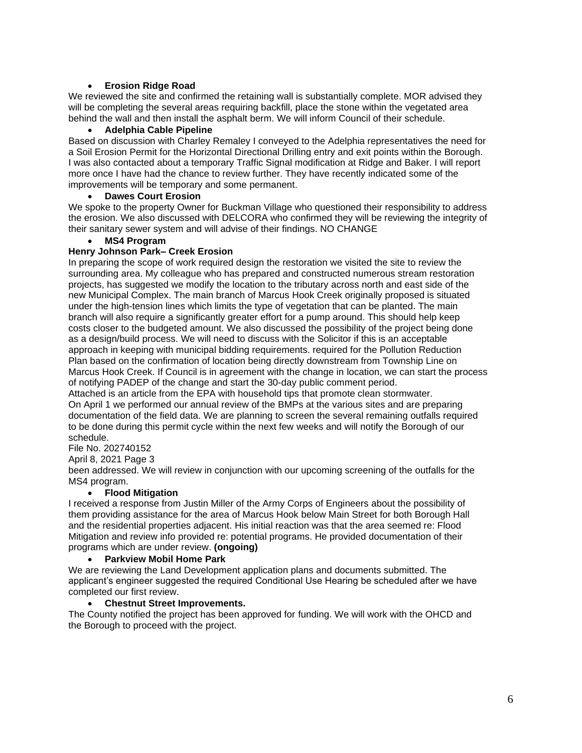## • **Erosion Ridge Road**

We reviewed the site and confirmed the retaining wall is substantially complete. MOR advised they will be completing the several areas requiring backfill, place the stone within the vegetated area behind the wall and then install the asphalt berm. We will inform Council of their schedule.

## • **Adelphia Cable Pipeline**

Based on discussion with Charley Remaley I conveyed to the Adelphia representatives the need for a Soil Erosion Permit for the Horizontal Directional Drilling entry and exit points within the Borough. I was also contacted about a temporary Traffic Signal modification at Ridge and Baker. I will report more once I have had the chance to review further. They have recently indicated some of the improvements will be temporary and some permanent.

## • **Dawes Court Erosion**

We spoke to the property Owner for Buckman Village who questioned their responsibility to address the erosion. We also discussed with DELCORA who confirmed they will be reviewing the integrity of their sanitary sewer system and will advise of their findings. NO CHANGE

## • **MS4 Program**

## **Henry Johnson Park– Creek Erosion**

In preparing the scope of work required design the restoration we visited the site to review the surrounding area. My colleague who has prepared and constructed numerous stream restoration projects, has suggested we modify the location to the tributary across north and east side of the new Municipal Complex. The main branch of Marcus Hook Creek originally proposed is situated under the high-tension lines which limits the type of vegetation that can be planted. The main branch will also require a significantly greater effort for a pump around. This should help keep costs closer to the budgeted amount. We also discussed the possibility of the project being done as a design/build process. We will need to discuss with the Solicitor if this is an acceptable approach in keeping with municipal bidding requirements. required for the Pollution Reduction Plan based on the confirmation of location being directly downstream from Township Line on Marcus Hook Creek. If Council is in agreement with the change in location, we can start the process of notifying PADEP of the change and start the 30-day public comment period.

Attached is an article from the EPA with household tips that promote clean stormwater. On April 1 we performed our annual review of the BMPs at the various sites and are preparing documentation of the field data. We are planning to screen the several remaining outfalls required to be done during this permit cycle within the next few weeks and will notify the Borough of our schedule.

# File No. 202740152

April 8, 2021 Page 3

been addressed. We will review in conjunction with our upcoming screening of the outfalls for the MS4 program.

## • **Flood Mitigation**

I received a response from Justin Miller of the Army Corps of Engineers about the possibility of them providing assistance for the area of Marcus Hook below Main Street for both Borough Hall and the residential properties adjacent. His initial reaction was that the area seemed re: Flood Mitigation and review info provided re: potential programs. He provided documentation of their programs which are under review. **(ongoing)**

#### • **Parkview Mobil Home Park**

We are reviewing the Land Development application plans and documents submitted. The applicant's engineer suggested the required Conditional Use Hearing be scheduled after we have completed our first review.

## • **Chestnut Street Improvements.**

The County notified the project has been approved for funding. We will work with the OHCD and the Borough to proceed with the project.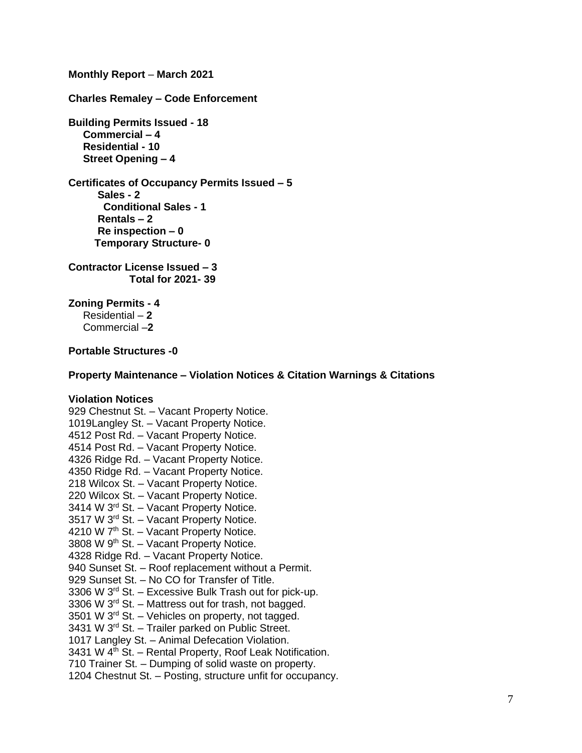**Monthly Report** – **March 2021**

**Charles Remaley – Code Enforcement**

**Building Permits Issued - 18 Commercial – 4 Residential - 10 Street Opening – 4**

**Certificates of Occupancy Permits Issued – 5 Sales - 2 Conditional Sales - 1 Rentals – 2 Re inspection – 0 Temporary Structure- 0**

**Contractor License Issued – 3 Total for 2021- 39**

**Zoning Permits - 4**

Residential – **2** Commercial –**2**

**Portable Structures -0**

**Property Maintenance – Violation Notices & Citation Warnings & Citations**

## **Violation Notices**

929 Chestnut St. - Vacant Property Notice. 1019Langley St. – Vacant Property Notice. 4512 Post Rd. – Vacant Property Notice. 4514 Post Rd. – Vacant Property Notice. 4326 Ridge Rd. – Vacant Property Notice. 4350 Ridge Rd. – Vacant Property Notice. 218 Wilcox St. – Vacant Property Notice. 220 Wilcox St. – Vacant Property Notice. 3414 W 3rd St. – Vacant Property Notice. 3517 W 3<sup>rd</sup> St. - Vacant Property Notice. 4210 W 7<sup>th</sup> St. - Vacant Property Notice. 3808 W 9<sup>th</sup> St. – Vacant Property Notice. 4328 Ridge Rd. – Vacant Property Notice. 940 Sunset St. – Roof replacement without a Permit. 929 Sunset St. – No CO for Transfer of Title. 3306 W 3rd St. – Excessive Bulk Trash out for pick-up. 3306 W 3rd St. – Mattress out for trash, not bagged. 3501 W  $3<sup>rd</sup>$  St. – Vehicles on property, not tagged. 3431 W 3rd St. – Trailer parked on Public Street. 1017 Langley St. – Animal Defecation Violation. 3431 W  $4<sup>th</sup>$  St. – Rental Property, Roof Leak Notification. 710 Trainer St. – Dumping of solid waste on property. 1204 Chestnut St. – Posting, structure unfit for occupancy.